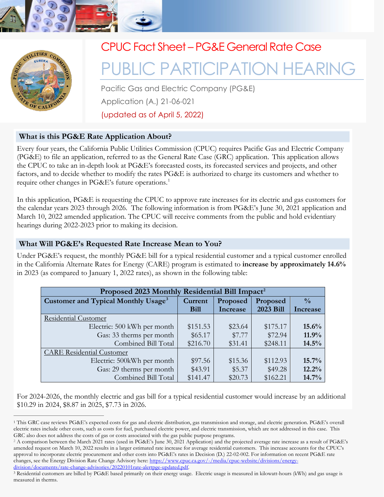



# CPUC Fact Sheet – PG&E General Rate Case

# PUBLIC PARTICIPATION HEARING

Pacific Gas and Electric Company (PG&E) Application (A.) 21-06-021 (updated as of April 5, 2022)

## **What is this PG&E Rate Application About?**

Every four years, the California Public Utilities Commission (CPUC) requires Pacific Gas and Electric Company (PG&E) to file an application, referred to as the General Rate Case (GRC) application. This application allows the CPUC to take an in-depth look at PG&E's forecasted costs, its forecasted services and projects, and other factors, and to decide whether to modify the rates PG&E is authorized to charge its customers and whether to require other changes in PG&E's future operations.<sup>[1](#page-0-0)</sup>

In this application, PG&E is requesting the CPUC to approve rate increases for its electric and gas customers for the calendar years 2023 through 2026. The following information is from PG&E's June 30, 2021 application and March 10, 2022 amended application. The CPUC will receive comments from the public and hold evidentiary hearings during 2022-2023 prior to making its decision.

#### **What Will PG&E's Requested Rate Increase Mean to You?**

Under PG&E's request, the monthly PG&E bill for a typical residential customer and a typical customer enrolled in the California Alternate Rates for Energy (CARE) program is estimated to **increase by approximately 14.6%**  in 2023 (as compared to January 1, 2022 rates), as shown in the following table:

| Proposed 2023 Monthly Residential Bill Impact <sup>2</sup> |             |          |           |               |
|------------------------------------------------------------|-------------|----------|-----------|---------------|
| Customer and Typical Monthly Usage <sup>3</sup>            | Current     | Proposed | Proposed  | $\frac{0}{0}$ |
|                                                            | <b>Bill</b> | Increase | 2023 Bill | Increase      |
| <b>Residential Customer</b>                                |             |          |           |               |
| Electric: 500 kWh per month                                | \$151.53    | \$23.64  | \$175.17  | 15.6%         |
| Gas: 33 therms per month                                   | \$65.17     | \$7.77   | \$72.94   | 11.9%         |
| Combined Bill Total                                        | \$216.70    | \$31.41  | \$248.11  | 14.5%         |
| <b>CARE Residential Customer</b>                           |             |          |           |               |
| Electric: 500kWh per month                                 | \$97.56     | \$15.36  | \$112.93  | 15.7%         |
| Gas: 29 therms per month                                   | \$43.91     | \$5.37   | \$49.28   | 12.2%         |
| Combined Bill Total                                        | \$141.47    | \$20.73  | \$162.21  | 14.7%         |

For 2024-2026, the monthly electric and gas bill for a typical residential customer would increase by an additional \$10.29 in 2024, \$8.87 in 2025, \$7.73 in 2026.

<span id="page-0-0"></span><sup>1</sup> This GRC case reviews PG&E's expected costs for gas and electric distribution, gas transmission and storage, and electric generation. PG&E's overall electric rates include other costs, such as costs for fuel, purchased electric power, and electric transmission, which are not addressed in this case. This

<span id="page-0-1"></span>GRC also does not address the costs of gas or costs associated with the gas public purpose programs.<br><sup>2</sup> A comparison between the March 2021 rates (used in PG&E's June 30, 2021 Application) and the projected average rate i amended request on March 10, 2022 results in a larger estimated rate increase for average residential customers. This increase accounts for the CPUC's approval to incorporate electric procurement and other costs into PG&E's rates in Decision (D.) 22-02-002. For information on recent PG&E rate changes, see the Energy Division Rate Change Advisory here: [https://www.cpuc.ca.gov/-/media/cpuc-website/divisions/energy-](https://www.cpuc.ca.gov/-/media/cpuc-website/divisions/energy-division/documents/rate-change-advisories/20220101rate-alertpge-updated.pdf)

<span id="page-0-2"></span>[division/documents/rate-change-advisories/20220101rate-alertpge-updated.pdf.](https://www.cpuc.ca.gov/-/media/cpuc-website/divisions/energy-division/documents/rate-change-advisories/20220101rate-alertpge-updated.pdf)<br><sup>3</sup> Residential customers are billed by PG&E based primarily on their energy usage. Electric usage is measured in kilowatt-hours (kWh) and gas us measured in therms.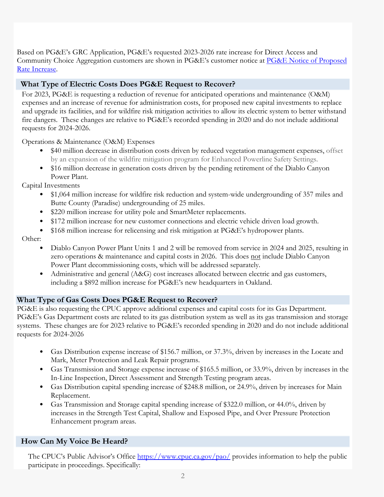Based on PG&E's GRC Application, PG&E's requested 2023-2026 rate increase for Direct Access and Community Choice Aggregation customers are shown in PG&E's customer notice at PG&E Notice of Proposed [Rate Increase.](https://www.cpuc.ca.gov/-/media/cpuc-website/divisions/news-and-outreach/documents/pao/customer-notices/cn-2021/2023-pge-general-rate-case-customer-notice-a2106021.pdf)

# **What Type of Electric Costs Does PG&E Request to Recover?**

For 2023, PG&E is requesting a reduction of revenue for anticipated operations and maintenance (O&M) expenses and an increase of revenue for administration costs, for proposed new capital investments to replace and upgrade its facilities, and for wildfire risk mitigation activities to allow its electric system to better withstand fire dangers. These changes are relative to PG&E's recorded spending in 2020 and do not include additional requests for 2024-2026.

Operations & Maintenance (O&M) Expenses

- \$40 million decrease in distribution costs driven by reduced vegetation management expenses, offset by an expansion of the wildfire mitigation program for Enhanced Powerline Safety Settings.
- \$16 million decrease in generation costs driven by the pending retirement of the Diablo Canyon Power Plant.

Capital Investments

- \$1,064 million increase for wildfire risk reduction and system-wide undergrounding of 357 miles and Butte County (Paradise) undergrounding of 25 miles.
- \$220 million increase for utility pole and SmartMeter replacements.
- \$172 million increase for new customer connections and electric vehicle driven load growth.
- \$168 million increase for relicensing and risk mitigation at PG&E's hydropower plants.

Other:

- Diablo Canyon Power Plant Units 1 and 2 will be removed from service in 2024 and 2025, resulting in zero operations & maintenance and capital costs in 2026. This does not include Diablo Canyon Power Plant decommissioning costs, which will be addressed separately.
- Administrative and general (A&G) cost increases allocated between electric and gas customers, including a \$892 million increase for PG&E's new headquarters in Oakland.

#### **What Type of Gas Costs Does PG&E Request to Recover?**

PG&E is also requesting the CPUC approve additional expenses and capital costs for its Gas Department. PG&E's Gas Department costs are related to its gas distribution system as well as its gas transmission and storage systems. These changes are for 2023 relative to PG&E's recorded spending in 2020 and do not include additional requests for 2024-2026

- Gas Distribution expense increase of \$156.7 million, or 37.3%, driven by increases in the Locate and Mark, Meter Protection and Leak Repair programs.
- Gas Transmission and Storage expense increase of \$165.5 million, or 33.9%, driven by increases in the In-Line Inspection, Direct Assessment and Strength Testing program areas.
- Gas Distribution capital spending increase of \$248.8 million, or 24.9%, driven by increases for Main Replacement.
- Gas Transmission and Storage capital spending increase of \$322.0 million, or 44.0%, driven by increases in the Strength Test Capital, Shallow and Exposed Pipe, and Over Pressure Protection Enhancement program areas.

#### **How Can My Voice Be Heard?**

The CPUC's Public Advisor's Office<https://www.cpuc.ca.gov/pao/>provides information to help the public participate in proceedings. Specifically: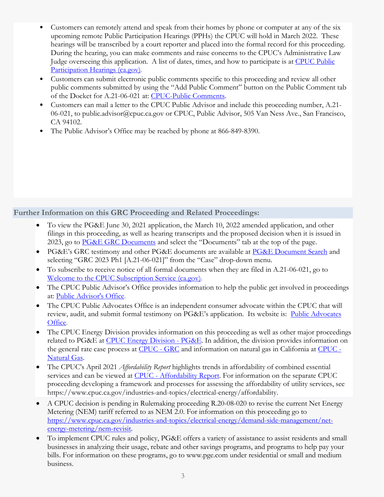- Customers can remotely attend and speak from their homes by phone or computer at any of the six upcoming remote Public Participation Hearings (PPHs) the CPUC will hold in March 2022. These hearings will be transcribed by a court reporter and placed into the formal record for this proceeding. During the hearing, you can make comments and raise concerns to the CPUC's Administrative Law Judge overseeing this application. A list of dates, times, and how to participate is at [CPUC Public](https://www.cpuc.ca.gov/PPH/#:%7E:text=CPUC%20Public%20Participation%20Hearings%20The%20CPUC%20often%20holds,other%20events%2C%20please%20contact%20the%20CPUC%27s%20Public%20Advisor.)  [Participation Hearings \(ca.gov\).](https://www.cpuc.ca.gov/PPH/#:%7E:text=CPUC%20Public%20Participation%20Hearings%20The%20CPUC%20often%20holds,other%20events%2C%20please%20contact%20the%20CPUC%27s%20Public%20Advisor.)
- Customers can submit electronic public comments specific to this proceeding and review all other public comments submitted by using the "Add Public Comment" button on the Public Comment tab of the Docket for A.21-06-021 at: [CPUC-Public Comments.](https://apps.cpuc.ca.gov/c/A2106021)
- Customers can mail a letter to the CPUC Public Advisor and include this proceeding number, A.21- 06-021, to public.advisor@cpuc.ca.gov or CPUC, Public Advisor, 505 Van Ness Ave., San Francisco, CA 94102.
- The Public Advisor's Office may be reached by phone at 866-849-8390.

## **Further Information on this GRC Proceeding and Related Proceedings:**

- To view the PG&E June 30, 2021 application, the March 10, 2022 amended application, and other filings in this proceeding, as well as hearing transcripts and the proposed decision when it is issued in 2023, go to [PG&E GRC Documents](https://apps.cpuc.ca.gov/apex/f?p=401:56:0:::::) and select the "Documents" tab at the top of the page.
- PG&E's GRC testimony and other PG&E documents are available at [PG&E Document Search](https://pgera.azurewebsites.net/Regulation/search) and selecting "GRC 2023 Ph1 [A.21-06-021]" from the "Case" drop-down menu.
- To subscribe to receive notice of all formal documents when they are filed in A.21-06-021, go to [Welcome to the CPUC Subscription Service \(ca.gov\).](http://subscribecpuc.cpuc.ca.gov/fpss/Default.aspx)
- The CPUC Public Advisor's Office provides information to help the public get involved in proceedings at: [Public Advisor's Office.](https://www.cpuc.ca.gov/pao/)
- The CPUC Public Advocates Office is an independent consumer advocate within the CPUC that will review, audit, and submit formal testimony on PG&E's application. Its website is: [Public Advocates](https://www.publicadvocates.cpuc.ca.gov/)  [Office.](https://www.publicadvocates.cpuc.ca.gov/)
- The CPUC Energy Division provides information on this proceeding as well as other major proceedings related to PG&E at [CPUC Energy Division - PG&E.](https://www.cpuc.ca.gov/industries-and-topics/pge) In addition, the division provides information on the general rate case process at [CPUC - GRC](https://www.cpuc.ca.gov/industries-and-topics/electrical-energy/electric-rates/general-rate-case) and information on natural gas in California at [CPUC -](https://www.cpuc.ca.gov/industries-and-topics/natural-gas)  [Natural Gas.](https://www.cpuc.ca.gov/industries-and-topics/natural-gas)
- The CPUC's April 2021 *Affordability Report* highlights trends in affordability of combined essential services and can be viewed at [CPUC - Affordability Report.](https://www.cpuc.ca.gov/news-and-updates/all-news/cpuc-issues-affordability-report-highlighting-trends-in-affordability) For information on the separate CPUC proceeding developing a framework and processes for assessing the affordability of utility services, see https://www.cpuc.ca.gov/industries-and-topics/electrical-energy/affordability.
- A CPUC decision is pending in Rulemaking proceeding R.20-08-020 to revise the current Net Energy Metering (NEM) tariff referred to as NEM 2.0. For information on this proceeding go to [https://www.cpuc.ca.gov/industries-and-topics/electrical-energy/demand-side-management/net](https://www.cpuc.ca.gov/industries-and-topics/electrical-energy/demand-side-management/net-energy-metering/nem-revisit)[energy-metering/nem-revisit.](https://www.cpuc.ca.gov/industries-and-topics/electrical-energy/demand-side-management/net-energy-metering/nem-revisit)
- To implement CPUC rules and policy, PG&E offers a variety of assistance to assist residents and small businesses in analyzing their usage, rebate and other savings programs, and programs to help pay your bills. For information on these programs, go to www.pge.com under residential or small and medium business.